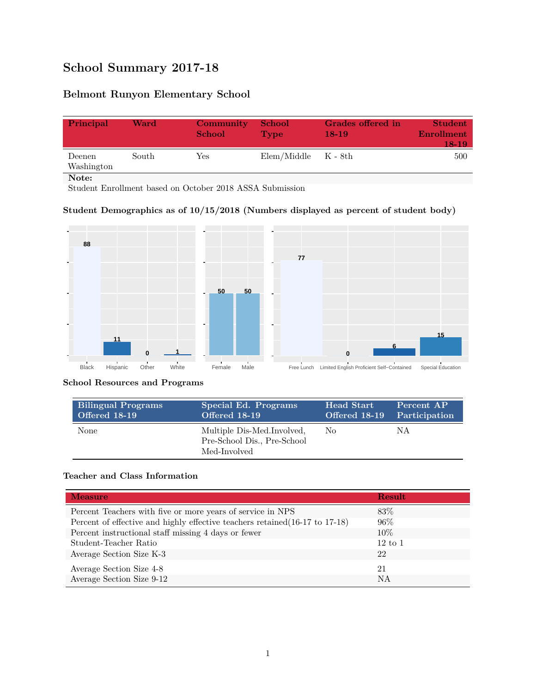# **School Summary 2017-18**

## **Belmont Runyon Elementary School**

| Principal            | Ward  | Community<br><b>School</b> | <b>School</b><br><b>Type</b> | Grades offered in<br>18-19 | <b>Student</b><br>Enrollment<br>18-19 |
|----------------------|-------|----------------------------|------------------------------|----------------------------|---------------------------------------|
| Deenen<br>Washington | South | Yes                        | $Elem/Middle$ $K - 8th$      |                            | 500                                   |
| Note:                |       |                            |                              |                            |                                       |

Student Enrollment based on October 2018 ASSA Submission

#### **Student Demographics as of 10/15/2018 (Numbers displayed as percent of student body)**



#### **School Resources and Programs**

| <b>Bilingual Programs</b> | Special Ed. Programs                                                      | Head Start | Percent AP                  |
|---------------------------|---------------------------------------------------------------------------|------------|-----------------------------|
| Offered 18-19             | Offered 18-19                                                             |            | Offered 18-19 Participation |
| None                      | Multiple Dis-Med.Involved.<br>Pre-School Dis., Pre-School<br>Med-Involved | No.        | ΝA                          |

#### **Teacher and Class Information**

| <b>Measure</b>                                                               | <b>Result</b>      |
|------------------------------------------------------------------------------|--------------------|
| Percent Teachers with five or more years of service in NPS                   | 83\%               |
| Percent of effective and highly effective teachers retained (16-17 to 17-18) | $96\%$             |
| Percent instructional staff missing 4 days or fewer                          | 10\%               |
| Student-Teacher Ratio                                                        | $12 \text{ to } 1$ |
| Average Section Size K-3                                                     | 22                 |
| Average Section Size 4-8                                                     | 21                 |
| Average Section Size 9-12                                                    | <b>NA</b>          |